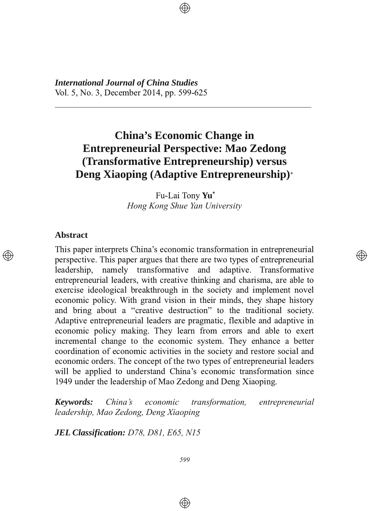*International Journal of China Studies* Vol. 5, No. 3, December 2014, pp. 599-625

# **China's Economic Change in Entrepreneurial Perspective: Mao Zedong (Transformative Entrepreneurship) versus Deng Xiaoping (Adaptive Entrepreneurship) +**

7777777777777777777777777777777777777777777777777777777777

Fu-Lai Tony **Yu**\* *Hong Kong Shue Yan University*

</u>

### **Abstract**

This paper interprets China's economic transformation in entrepreneurial between the perspective. This paper argues that there are two types of entrepreneurial leadership, namely transformative and adaptive. Transformative entrepreneurial leaders, with creative thinking and charisma, are able to exercise ideological breakthrough in the society and implement novel economic policy. With grand vision in their minds, they shape history and bring about a "creative destruction" to the traditional society. Adaptive entrepreneurial leaders are pragmatic, flexible and adaptive in economic policy making. They learn from errors and able to exert incremental change to the economic system. They enhance a better coordination of economic activities in the society and restore social and economic orders. The concept of the two types of entrepreneurial leaders will be applied to understand China's economic transformation since 1949 under the leadership of Mao Zedong and Deng Xiaoping.

*Keywords: China's economic transformation, entrepreneurial leadership, Mao Zedong, Deng Xiaoping*

*JEL Classification: D78, D81, E65, N15*

 $\bigoplus$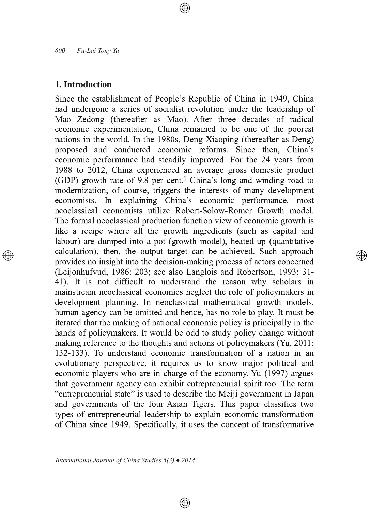## 1. Introduction

Since the establishment of People's Republic of China in 1949, China had undergone a series of socialist revolution under the leadership of Mao Zedong (thereafter as Mao). After three decades of radical economic experimentation, China remained to be one of the poorest nations in the world. In the 1980s, Deng Xiaoping (thereafter as Deng) proposed and conducted economic reforms. Since then, China's economic performance had steadily improved. For the 24 years from 1988 to 2012, China experienced an average gross domestic product (GDP) growth rate of 9.8 per cent.<sup>1</sup> China's long and winding road to modernization, of course, triggers the interests of many development economists. In explaining China's economic performance, most neoclassical economists utilize Robert-Solow-Romer Growth model. The formal neoclassical production function view of economic growth is like a recipe where all the growth ingredients (such as capital and labour) are dumped into a pot (growth model), heated up (quantitative calculation), then, the output target can be achieved. Such approach provides no insight into the decision-making process of actors concerned (Leijonhufvud, 1986: 203; see also Langlois and Robertson, 1993: 31-41). It is not difficult to understand the reason why scholars in mainstream neoclassical economics neglect the role of policymakers in development planning. In neoclassical mathematical growth models, human agency can be omitted and hence, has no role to play. It must be iterated that the making of national economic policy is principally in the hands of policymakers. It would be odd to study policy change without making reference to the thoughts and actions of policymakers (Yu, 2011: 132-133). To understand economic transformation of a nation in an evolutionary perspective, it requires us to know major political and economic players who are in charge of the economy. Yu (1997) argues that government agency can exhibit entrepreneurial spirit too. The term "entrepreneurial state" is used to describe the Meiji government in Japan and governments of the four Asian Tigers. This paper classifies two types of entrepreneurial leadership to explain economic transformation of China since 1949. Specifically, it uses the concept of transformative

⊕

্⊕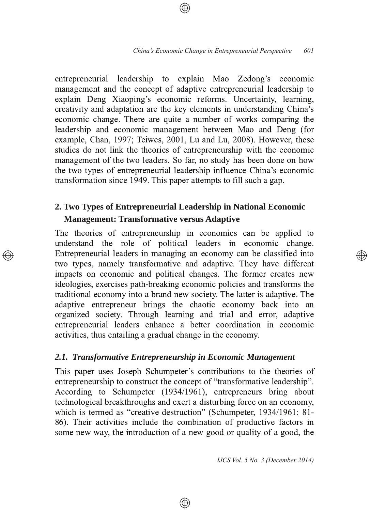entrepreneurial leadership to explain Mao Zedong's economic management and the concept of adaptive entrepreneurial leadership to explain Deng Xiaoping's economic reforms. Uncertainty, learning, creativity and adaptation are the key elements in understanding China's economic change. There are quite a number of works comparing the leadership and economic management between Mao and Deng (for example, Chan, 1997; Teiwes, 2001, Lu and Lu, 2008). However, these studies do not link the theories of entrepreneurship with the economic management of the two leaders. So far, no study has been done on how the two types of entrepreneurial leadership influence China's economic transformation since 1949. This paper attempts to fill such a gap.

# **2. Two Types of Entrepreneurial Leadership in National Economic Management: Transformative versus Adaptive**

The theories of entrepreneurship in economics can be applied to understand the role of political leaders in economic change. Entrepreneurial leaders in managing an economy can be classified into two types, namely transformative and adaptive. They have different impacts on economic and political changes. The former creates new ideologies, exercises path-breaking economic policies and transforms the traditional economy into a brand new society. The latter is adaptive. The adaptive entrepreneur brings the chaotic economy back into an organized society. Through learning and trial and error, adaptive entrepreneurial leaders enhance a better coordination in economic activities, thus entailing a gradual change in the economy.

## *2.1. Transformative Entrepreneurship in Economic Management*

This paper uses Joseph Schumpeter's contributions to the theories of entrepreneurship to construct the concept of "transformative leadership". According to Schumpeter (1934/1961), entrepreneurs bring about technological breakthroughs and exert a disturbing force on an economy, which is termed as "creative destruction" (Schumpeter, 1934/1961: 81-86). Their activities include the combination of productive factors in some new way, the introduction of a new good or quality of a good, the

⊕

*IJCS Vol. 5 No. 3 (December 2014)*

</u>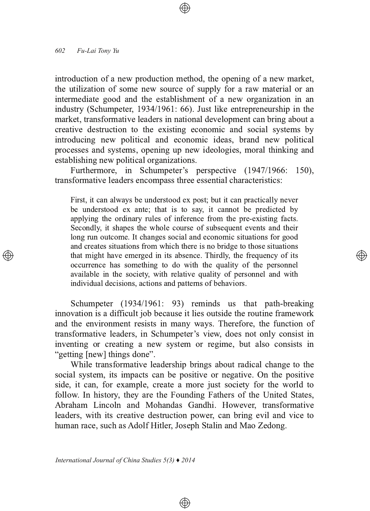introduction of a new production method, the opening of a new market, the utilization of some new source of supply for a raw material or an intermediate good and the establishment of a new organization in an industry (Schumpeter, 1934/1961: 66). Just like entrepreneurship in the market, transformative leaders in national development can bring about a creative destruction to the existing economic and social systems by introducing new political and economic ideas, brand new political processes and systems, opening up new ideologies, moral thinking and establishing new political organizations.

Furthermore, in Schumpeter's perspective (1947/1966: 150), transformative leaders encompass three essential characteristics:

First, it can always be understood ex post; but it can practically never be understood ex ante; that is to say, it cannot be predicted by applying the ordinary rules of inference from the pre-existing facts. Secondly, it shapes the whole course of subsequent events and their long run outcome. It changes social and economic situations for good and creates situations from which there is no bridge to those situations that might have emerged in its absence. Thirdly, the frequency of its occurrence has something to do with the quality of the personnel available in the society, with relative quality of personnel and with individual decisions, actions and patterns of behaviors.

Schumpeter (1934/1961: 93) reminds us that path-breaking innovation is a difficult job because it lies outside the routine framework and the environment resists in many ways. Therefore, the function of transformative leaders, in Schumpeter's view, does not only consist in inventing or creating a new system or regime, but also consists in "getting [new] things done".

While transformative leadership brings about radical change to the social system, its impacts can be positive or negative. On the positive side, it can, for example, create a more just society for the world to follow. In history, they are the Founding Fathers of the United States, Abraham Lincoln and Mohandas Gandhi. However, transformative leaders, with its creative destruction power, can bring evil and vice to human race, such as Adolf Hitler, Joseph Stalin and Mao Zedong.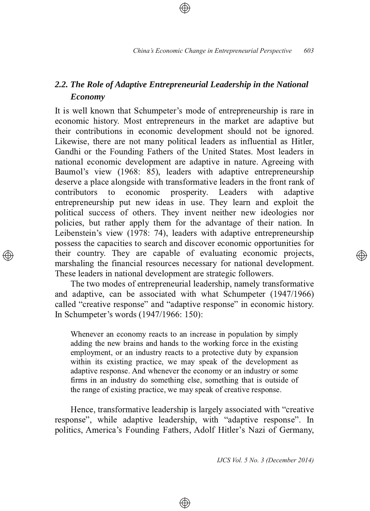# *2.2. The Role of Adaptive Entrepreneurial Leadership in the National Economy*

It is well known that Schumpeter's mode of entrepreneurship is rare in economic history. Most entrepreneurs in the market are adaptive but their contributions in economic development should not be ignored. Likewise, there are not many political leaders as influential as Hitler, Gandhi or the Founding Fathers of the United States. Most leaders in national economic development are adaptive in nature. Agreeing with Baumol's view (1968: 85), leaders with adaptive entrepreneurship deserve a place alongside with transformative leaders in the front rank of contributors to economic prosperity. Leaders with adaptive entrepreneurship put new ideas in use. They learn and exploit the political success of others. They invent neither new ideologies nor policies, but rather apply them for the advantage of their nation. In Leibenstein's view (1978: 74), leaders with adaptive entrepreneurship possess the capacities to search and discover economic opportunities for their country. They are capable of evaluating economic projects, marshaling the financial resources necessary for national development. These leaders in national development are strategic followers.

The two modes of entrepreneurial leadership, namely transformative and adaptive, can be associated with what Schumpeter  $(1947/1966)$ called "creative response" and "adaptive response" in economic history. In Schumpeter's words  $(1947/1966: 150)$ :

Whenever an economy reacts to an increase in population by simply adding the new brains and hands to the working force in the existing employment, or an industry reacts to a protective duty by expansion within its existing practice, we may speak of the development as adaptive response. And whenever the economy or an industry or some firms in an industry do something else, something that is outside of the range of existing practice, we may speak of creative response.

Hence, transformative leadership is largely associated with "creative" response", while adaptive leadership, with "adaptive response". In politics, America's Founding Fathers, Adolf Hitler's Nazi of Germany,

⊕

*IJCS Vol. 5 No. 3 (December 2014)*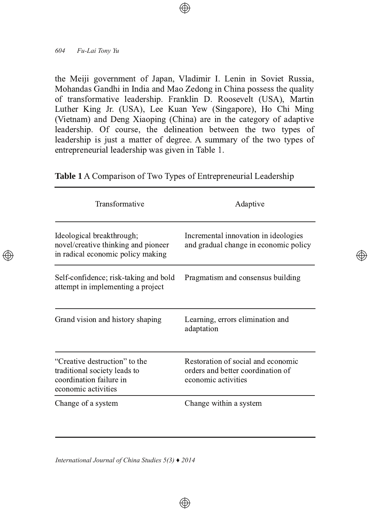the Meiji government of Japan, Vladimir I. Lenin in Soviet Russia, Mohandas Gandhi in India and Mao Zedong in China possess the quality of transformative leadership. Franklin D. Roosevelt (USA), Martin Luther King Jr. (USA), Lee Kuan Yew (Singapore), Ho Chi Ming (Vietnam) and Deng Xiaoping (China) are in the category of adaptive leadership. Of course, the delineation between the two types of leadership is just a matter of degree. A summary of the two types of entrepreneurial leadership was given in Table 1.

Table 1 A Comparison of Two Types of Entrepreneurial Leadership

| Transformative                                                                                                  | Adaptive                                                                                       |
|-----------------------------------------------------------------------------------------------------------------|------------------------------------------------------------------------------------------------|
| Ideological breakthrough;<br>novel/creative thinking and pioneer<br>in radical economic policy making           | Incremental innovation in ideologies<br>and gradual change in economic policy                  |
| Self-confidence; risk-taking and bold<br>attempt in implementing a project                                      | Pragmatism and consensus building                                                              |
| Grand vision and history shaping                                                                                | Learning, errors elimination and<br>adaptation                                                 |
| "Creative destruction" to the<br>traditional society leads to<br>coordination failure in<br>economic activities | Restoration of social and economic<br>orders and better coordination of<br>economic activities |
| Change of a system                                                                                              | Change within a system                                                                         |

⊕

(A))

*International Journal of China Studies 5(3) ♦ 2014*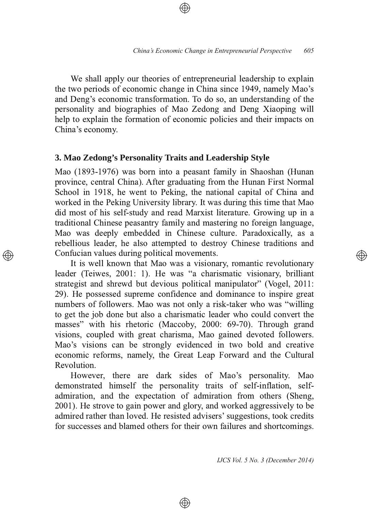We shall apply our theories of entrepreneurial leadership to explain the two periods of economic change in China since 1949, namely Mao's and Deng's economic transformation. To do so, an understanding of the personality and biographies of Mao Zedong and Deng Xiaoping will help to explain the formation of economic policies and their impacts on China's economy.

## **3. Mao Zedong's Personality Traits and Leadership Style**

Mao (1893-1976) was born into a peasant family in Shaoshan (Hunan province, central China). After graduating from the Hunan First Normal School in 1918, he went to Peking, the national capital of China and worked in the Peking University library. It was during this time that Mao did most of his self-study and read Marxist literature. Growing up in a traditional Chinese peasantry family and mastering no foreign language. Mao was deeply embedded in Chinese culture. Paradoxically, as a rebellious leader, he also attempted to destroy Chinese traditions and Confucian values during political movements.

It is well known that Mao was a visionary, romantic revolutionary leader (Teiwes, 2001: 1). He was "a charismatic visionary, brilliant strategist and shrewd but devious political manipulator" (Vogel, 2011: 29). He possessed supreme confidence and dominance to inspire great numbers of followers. Mao was not only a risk-taker who was "willing to get the job done but also a charismatic leader who could convert the masses" with his rhetoric (Maccoby, 2000: 69-70). Through grand visions, coupled with great charisma, Mao gained devoted followers. Mao's visions can be strongly evidenced in two bold and creative economic reforms, namely, the Great Leap Forward and the Cultural Revolution.

However, there are dark sides of Mao's personality. Mao demonstrated himself the personality traits of self-inflation, selfadmiration, and the expectation of admiration from others (Sheng, 2001). He strove to gain power and glory, and worked aggressively to be admired rather than loved. He resisted advisers' suggestions, took credits for successes and blamed others for their own failures and shortcomings.

⊕

*IJCS Vol. 5 No. 3 (December 2014)*

</u>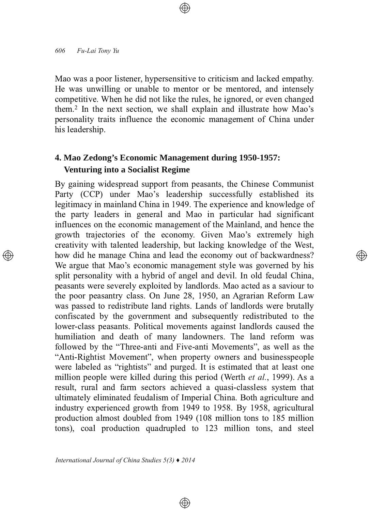Mao was a poor listener, hypersensitive to criticism and lacked empathy. He was unwilling or unable to mentor or be mentored, and intensely competitive. When he did not like the rules, he ignored, or even changed them.<sup>2</sup> In the next section, we shall explain and illustrate how Mao's personality traits influence the economic management of China under his leadership.

# **4. Mao Zedong's Economic Management during 19501957: Venturing into a Socialist Regime**

By gaining widespread support from peasants, the Chinese Communist Party (CCP) under Mao's leadership successfully established its legitimacy in mainland China in 1949. The experience and knowledge of the party leaders in general and Mao in particular had significant influences on the economic management of the Mainland, and hence the growth trajectories of the economy. Given Mao's extremely high creativity with talented leadership, but lacking knowledge of the West, how did he manage China and lead the economy out of backwardness? We argue that Mao's economic management style was governed by his split personality with a hybrid of angel and devil. In old feudal China, peasants were severely exploited by landlords. Mao acted as a saviour to the poor peasantry class. On June 28, 1950, an Agrarian Reform Law was passed to redistribute land rights. Lands of landlords were brutally confiscated by the government and subsequently redistributed to the lower-class peasants. Political movements against landlords caused the humiliation and death of many landowners. The land reform was followed by the "Three-anti and Five-anti Movements", as well as the "Anti-Rightist Movement", when property owners and businesspeople were labeled as "rightists" and purged. It is estimated that at least one million people were killed during this period (Werth *et al.*, 1999). As a result, rural and farm sectors achieved a quasi-classless system that ultimately eliminated feudalism of Imperial China. Both agriculture and industry experienced growth from 1949 to 1958. By 1958, agricultural production almost doubled from 1949 (108 million tons to 185 million tons), coal production quadrupled to 123 million tons, and steel

 $\bigoplus$ 

</u>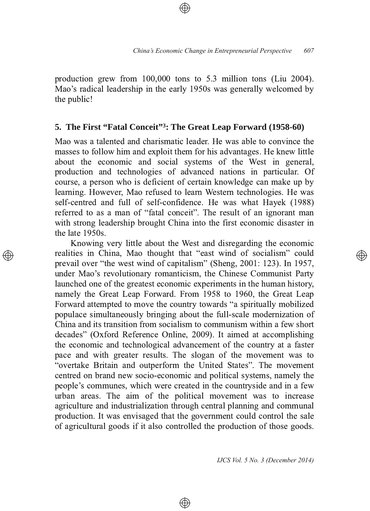production grew from 100,000 tons to 5.3 million tons (Liu 2004). Mao's radical leadership in the early 1950s was generally welcomed by the public!

# 5. The First "Fatal Conceit"<sup>3</sup>: The Great Leap Forward (1958-60)

Mao was a talented and charismatic leader. He was able to convince the masses to follow him and exploit them for his advantages. He knew little about the economic and social systems of the West in general, production and technologies of advanced nations in particular. Of course, a person who is deficient of certain knowledge can make up by learning. However, Mao refused to learn Western technologies. He was self-centred and full of self-confidence. He was what Hayek (1988) referred to as a man of "fatal conceit". The result of an ignorant man with strong leadership brought China into the first economic disaster in the late 1950s.

Knowing very little about the West and disregarding the economic realities in China, Mao thought that "east wind of socialism" could prevail over "the west wind of capitalism" (Sheng, 2001: 123). In 1957, under Mao's revolutionary romanticism, the Chinese Communist Party launched one of the greatest economic experiments in the human history, namely the Great Leap Forward. From 1958 to 1960, the Great Leap Forward attempted to move the country towards "a spiritually mobilized populace simultaneously bringing about the full-scale modernization of China and its transition from socialism to communism within a few short decades" (Oxford Reference Online, 2009). It aimed at accomplishing the economic and technological advancement of the country at a faster pace and with greater results. The slogan of the movement was to "overtake Britain and outperform the United States". The movement centred on brand new socio-economic and political systems, namely the people's communes, which were created in the countryside and in a few urban areas. The aim of the political movement was to increase agriculture and industrialization through central planning and communal production. It was envisaged that the government could control the sale of agricultural goods if it also controlled the production of those goods.

⊕

IJCS Vol. 5 No. 3 (December 2014)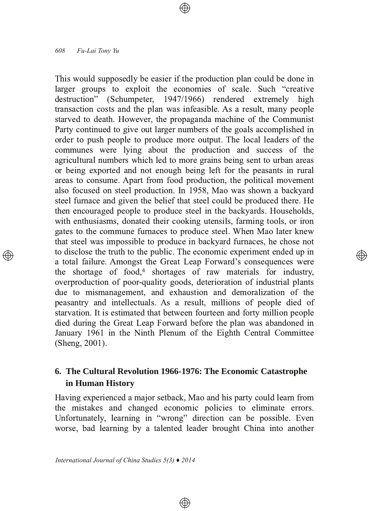This would supposedly be easier if the production plan could be done in larger groups to exploit the economies of scale. Such "creative destruction" (Schumpeter, 1947/1966) rendered extremely high transaction costs and the plan was infeasible. As a result, many people starved to death. However, the propaganda machine of the Communist Party continued to give out larger numbers of the goals accomplished in order to push people to produce more output. The local leaders of the communes were lying about the production and success of the agricultural numbers which led to more grains being sent to urban areas or being exported and not enough being left for the peasants in rural areas to consume. Apart from food production, the political movement also focused on steel production. In 1958, Mao was shown a backyard steel furnace and given the belief that steel could be produced there. He then encouraged people to produce steel in the backyards. Households, with enthusiasms, donated their cooking utensils, farming tools, or iron gates to the commune furnaces to produce steel. When Mao later knew that steel was impossible to produce in backyard furnaces, he chose not to disclose the truth to the public. The economic experiment ended up in a total failure. Amongst the Great Leap Forward's consequences were the shortage of food,<sup>4</sup> shortages of raw materials for industry, overproduction of poor-quality goods, deterioration of industrial plants due to mismanagement, and exhaustion and demoralization of the peasantry and intellectuals. As a result, millions of people died of starvation. It is estimated that between fourteen and forty million people died during the Great Leap Forward before the plan was abandoned in January 1961 in the Ninth Plenum of the Eighth Central Committee (Sheng, 2001).

</u>

# 6. The Cultural Revolution 1966-1976: The Economic Catastrophe in Human History

Having experienced a major setback, Mao and his party could learn from the mistakes and changed economic policies to eliminate errors. Unfortunately, learning in "wrong" direction can be possible. Even worse, bad learning by a talented leader brought China into another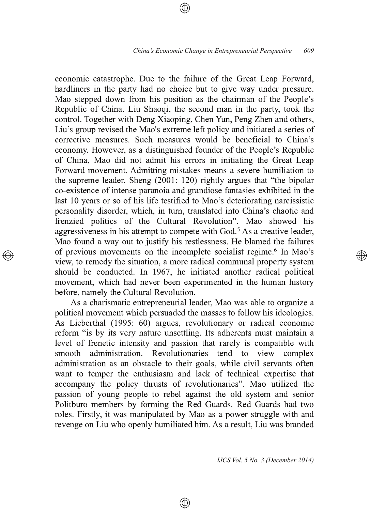economic catastrophe. Due to the failure of the Great Leap Forward, hardliners in the party had no choice but to give way under pressure. Mao stepped down from his position as the chairman of the People's Republic of China. Liu Shaoqi, the second man in the party, took the control. Together with Deng Xiaoping, Chen Yun, Peng Zhen and others, Liu's group revised the Mao's extreme left policy and initiated a series of corrective measures. Such measures would be beneficial to China's economy. However, as a distinguished founder of the People's Republic of China, Mao did not admit his errors in initiating the Great Leap Forward movement. Admitting mistakes means a severe humiliation to the supreme leader. Sheng  $(2001: 120)$  rightly argues that "the bipolar" co-existence of intense paranoia and grandiose fantasies exhibited in the last 10 years or so of his life testified to Mao's deteriorating narcissistic personality disorder, which, in turn, translated into China's chaotic and frenzied politics of the Cultural Revolution". Mao showed his aggressiveness in his attempt to compete with God.<sup>5</sup> As a creative leader, Mao found a way out to justify his restlessness. He blamed the failures of previous movements on the incomplete socialist regime.<sup>6</sup> In Mao's view, to remedy the situation, a more radical communal property system should be conducted. In 1967, he initiated another radical political movement, which had never been experimented in the human history before, namely the Cultural Revolution.

As a charismatic entrepreneurial leader, Mao was able to organize a political movement which persuaded the masses to follow his ideologies. As Lieberthal (1995: 60) argues, revolutionary or radical economic reform "is by its very nature unsettling. Its adherents must maintain a level of frenetic intensity and passion that rarely is compatible with smooth administration. Revolutionaries tend to view complex administration as an obstacle to their goals, while civil servants often want to temper the enthusiasm and lack of technical expertise that accompany the policy thrusts of revolutionaries". Mao utilized the passion of young people to rebel against the old system and senior Politburo members by forming the Red Guards. Red Guards had two roles. Firstly, it was manipulated by Mao as a power struggle with and revenge on Liu who openly humiliated him. As a result, Liu was branded

⊕

*IJCS Vol. 5 No. 3 (December 2014)*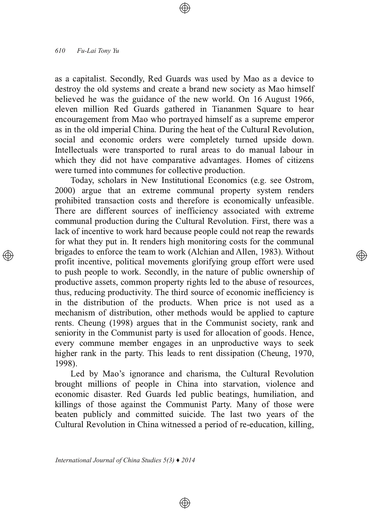as a capitalist. Secondly, Red Guards was used by Mao as a device to destroy the old systems and create a brand new society as Mao himself believed he was the guidance of the new world. On  $16$  August  $1966$ , eleven million Red Guards gathered in Tiananmen Square to hear encouragement from Mao who portrayed himself as a supreme emperor as in the old imperial China. During the heat of the Cultural Revolution, social and economic orders were completely turned upside down. Intellectuals were transported to rural areas to do manual labour in which they did not have comparative advantages. Homes of citizens were turned into communes for collective production.

Today, scholars in New Institutional Economics (e.g. see Ostrom, 2000) argue that an extreme communal property system renders prohibited transaction costs and therefore is economically unfeasible. There are different sources of inefficiency associated with extreme communal production during the Cultural Revolution. First, there was a lack of incentive to work hard because people could not reap the rewards for what they put in. It renders high monitoring costs for the communal brigades to enforce the team to work (Alchian and Allen, 1983). Without profit incentive, political movements glorifying group effort were used to push people to work. Secondly, in the nature of public ownership of productive assets, common property rights led to the abuse of resources, thus, reducing productivity. The third source of economic inefficiency is in the distribution of the products. When price is not used as a mechanism of distribution, other methods would be applied to capture rents. Cheung (1998) argues that in the Communist society, rank and seniority in the Communist party is used for allocation of goods. Hence, every commune member engages in an unproductive ways to seek higher rank in the party. This leads to rent dissipation (Cheung, 1970, 1998).

Led by Mao's ignorance and charisma, the Cultural Revolution brought millions of people in China into starvation, violence and economic disaster. Red Guards led public beatings, humiliation, and killings of those against the Communist Party. Many of those were beaten publicly and committed suicide. The last two years of the Cultural Revolution in China witnessed a period of re-education, killing,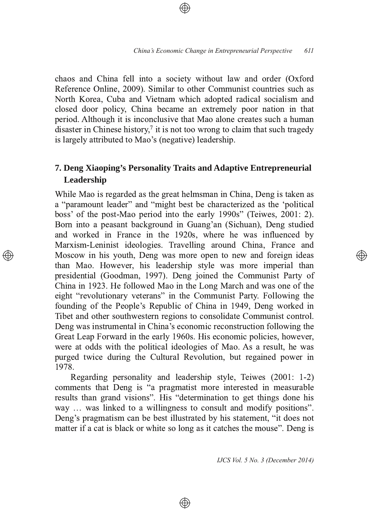chaos and China fell into a society without law and order (Oxford Reference Online, 2009). Similar to other Communist countries such as North Korea, Cuba and Vietnam which adopted radical socialism and closed door policy, China became an extremely poor nation in that period. Although it is inconclusive that Mao alone creates such a human disaster in Chinese history, $\frac{7}{1}$  it is not too wrong to claim that such tragedy is largely attributed to Mao's (negative) leadership.

# **7. Deng Xiaoping's Personality Traits and Adaptive Entrepreneurial Leadership**

While Mao is regarded as the great helmsman in China, Deng is taken as a "paramount leader" and "might best be characterized as the 'political boss' of the post-Mao period into the early 1990s" (Teiwes, 2001: 2). Born into a peasant background in Guang'an (Sichuan), Deng studied and worked in France in the 1920s, where he was influenced by Marxism-Leninist ideologies. Travelling around China, France and Moscow in his youth, Deng was more open to new and foreign ideas than Mao. However, his leadership style was more imperial than presidential (Goodman, 1997). Deng joined the Communist Party of China in 1923. He followed Mao in the Long March and was one of the eight "revolutionary veterans" in the Communist Party. Following the founding of the People's Republic of China in 1949, Deng worked in Tibet and other southwestern regions to consolidate Communist control. Deng was instrumental in China's economic reconstruction following the Great Leap Forward in the early 1960s. His economic policies, however, were at odds with the political ideologies of Mao. As a result, he was purged twice during the Cultural Revolution, but regained power in 1978.

Regarding personality and leadership style, Teiwes (2001: 1-2) comments that Deng is "a pragmatist more interested in measurable results than grand visions". His "determination to get things done his way ... was linked to a willingness to consult and modify positions". Deng's pragmatism can be best illustrated by his statement, "it does not matter if a cat is black or white so long as it catches the mouse". Deng is

⊕

*IJCS Vol. 5 No. 3 (December 2014)*

্⊕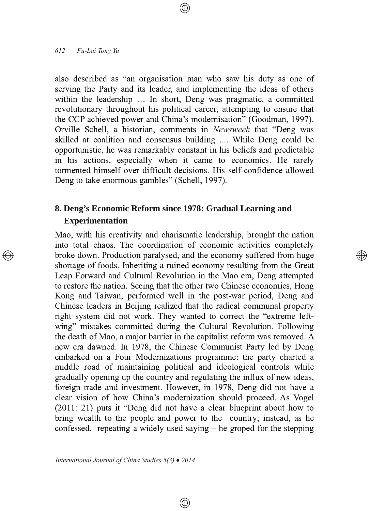also described as "an organisation man who saw his duty as one of serving the Party and its leader, and implementing the ideas of others within the leadership ... In short, Deng was pragmatic, a committed revolutionary throughout his political career, attempting to ensure that the CCP achieved power and China's modernisation" (Goodman, 1997). Orville Schell, a historian, comments in *Newsweek* that "Deng was skilled at coalition and consensus building .... While Deng could be opportunistic, he was remarkably constant in his beliefs and predictable in his actions, especially when it came to economics. He rarely tormented himself over difficult decisions. His self-confidence allowed Deng to take enormous gambles" (Schell, 1997).

# **8. Deng's Economic Reform since 1978: Gradual Learning and Experimentation**

Mao, with his creativity and charismatic leadership, brought the nation into total chaos. The coordination of economic activities completely broke down. Production paralysed, and the economy suffered from huge shortage of foods. Inheriting a ruined economy resulting from the Great Leap Forward and Cultural Revolution in the Mao era, Deng attempted to restore the nation. Seeing that the other two Chinese economies, Hong Kong and Taiwan, performed well in the post-war period, Deng and Chinese leaders in Beijing realized that the radical communal property right system did not work. They wanted to correct the "extreme leftwing" mistakes committed during the Cultural Revolution. Following the death of Mao, a major barrier in the capitalist reform was removed. A new era dawned. In 1978, the Chinese Communist Party led by Deng embarked on a Four Modernizations programme: the party charted a middle road of maintaining political and ideological controls while gradually opening up the country and regulating the influx of new ideas, foreign trade and investment. However, in 1978, Deng did not have a clear vision of how China's modernization should proceed. As Vogel  $(2011: 21)$  puts it "Deng did not have a clear blueprint about how to bring wealth to the people and power to the country; instead, as he confessed, repeating a widely used saying  $-$  he groped for the stepping

⊕

্⊕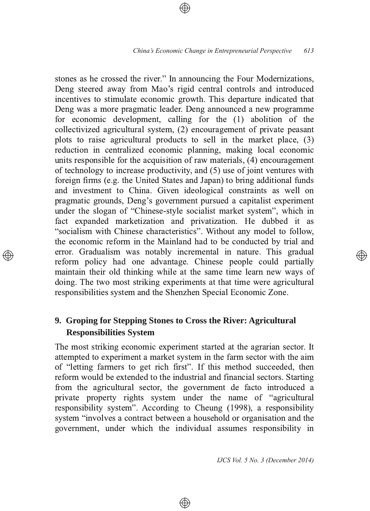stones as he crossed the river." In announcing the Four Modernizations, Deng steered away from Mao's rigid central controls and introduced incentives to stimulate economic growth. This departure indicated that Deng was a more pragmatic leader. Deng announced a new programme for economic development, calling for the  $(1)$  abolition of the  $\alpha$  collectivized agricultural system, (2) encouragement of private peasant plots to raise agricultural products to sell in the market place,  $(3)$ reduction in centralized economic planning, making local economic units responsible for the acquisition of raw materials,  $(4)$  encouragement of technology to increase productivity, and (5) use of joint ventures with foreign firms (e.g. the United States and Japan) to bring additional funds and investment to China. Given ideological constraints as well on pragmatic grounds, Deng's government pursued a capitalist experiment under the slogan of "Chinese-style socialist market system", which in fact expanded marketization and privatization. He dubbed it as "socialism with Chinese characteristics". Without any model to follow, the economic reform in the Mainland had to be conducted by trial and error. Gradualism was notably incremental in nature. This gradual reform policy had one advantage. Chinese people could partially maintain their old thinking while at the same time learn new ways of doing. The two most striking experiments at that time were agricultural responsibilities system and the Shenzhen Special Economic Zone.

# **9. Groping for Stepping Stones to Cross the River: Agricultural Responsibilities System**

The most striking economic experiment started at the agrarian sector. It attempted to experiment a market system in the farm sector with the aim of "letting farmers to get rich first". If this method succeeded, then reform would be extended to the industrial and financial sectors. Starting from the agricultural sector, the government de facto introduced a private property rights system under the name of "agricultural" responsibility system". According to Cheung (1998), a responsibility system "involves a contract between a household or organisation and the government, under which the individual assumes responsibility in

⊕

*IJCS Vol. 5 No. 3 (December 2014)*

</u>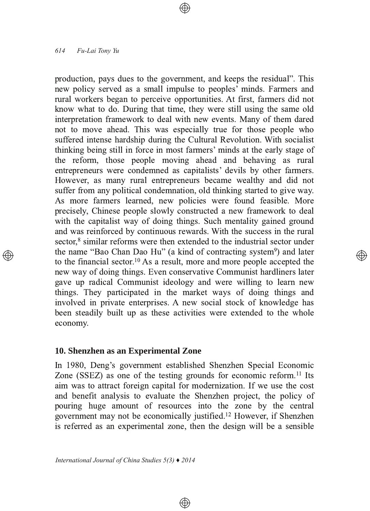production, pays dues to the government, and keeps the residual". This new policy served as a small impulse to peoples<sup>2</sup> minds. Farmers and rural workers began to perceive opportunities. At first, farmers did not know what to do. During that time, they were still using the same old interpretation framework to deal with new events. Many of them dared not to move ahead. This was especially true for those people who suffered intense hardship during the Cultural Revolution. With socialist thinking being still in force in most farmers' minds at the early stage of the reform, those people moving ahead and behaving as rural entrepreneurs were condemned as capitalists' devils by other farmers. However, as many rural entrepreneurs became wealthy and did not suffer from any political condemnation, old thinking started to give way. As more farmers learned, new policies were found feasible. More precisely, Chinese people slowly constructed a new framework to deal with the capitalist way of doing things. Such mentality gained ground and was reinforced by continuous rewards. With the success in the rural sector,<sup>8</sup> similar reforms were then extended to the industrial sector under the name "Bao Chan Dao Hu" (a kind of contracting system<sup>9</sup>) and later to the financial sector.<sup>10</sup> As a result, more and more people accepted the new way of doing things. Even conservative Communist hardliners later gave up radical Communist ideology and were willing to learn new things. They participated in the market ways of doing things and involved in private enterprises. A new social stock of knowledge has been steadily built up as these activities were extended to the whole economy.

## 10. Shenzhen as an Experimental Zone

In 1980, Deng's government established Shenzhen Special Economic Zone (SSEZ) as one of the testing grounds for economic reform.<sup>11</sup> Its aim was to attract foreign capital for modernization. If we use the cost and benefit analysis to evaluate the Shenzhen project, the policy of pouring huge amount of resources into the zone by the central government may not be economically justified.<sup>12</sup> However, if Shenzhen is referred as an experimental zone, then the design will be a sensible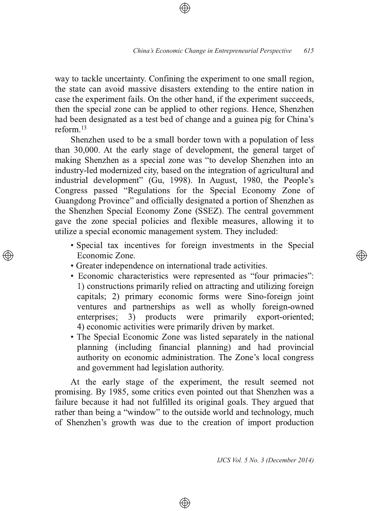way to tackle uncertainty. Confining the experiment to one small region, the state can avoid massive disasters extending to the entire nation in case the experiment fails. On the other hand, if the experiment succeeds, then the special zone can be applied to other regions. Hence, Shenzhen had been designated as a test bed of change and a guinea pig for China's reform.<sup>13</sup>

Shenzhen used to be a small border town with a population of less than  $30,000$ . At the early stage of development, the general target of making Shenzhen as a special zone was "to develop Shenzhen into an industry-led modernized city, based on the integration of agricultural and industrial development" (Gu, 1998). In August, 1980, the People's Congress passed "Regulations for the Special Economy Zone of Guangdong Province" and officially designated a portion of Shenzhen as the Shenzhen Special Economy Zone (SSEZ). The central government gave the zone special policies and flexible measures, allowing it to utilize a special economic management system. They included:

- Special tax incentives for foreign investments in the Special Economic Zone.
- Greater independence on international trade activities.
- Economic characteristics were represented as "four primacies": 1) constructions primarily relied on attracting and utilizing foreign capitals; 2) primary economic forms were Sino-foreign joint ventures and partnerships as well as wholly foreign-owned enterprises; 3) products were primarily export-oriented; 4) economic activities were primarily driven by market.
- The Special Economic Zone was listed separately in the national planning (including financial planning) and had provincial authority on economic administration. The Zone's local congress and government had legislation authority.

At the early stage of the experiment, the result seemed not promising. By 1985, some critics even pointed out that Shenzhen was a failure because it had not fulfilled its original goals. They argued that rather than being a "window" to the outside world and technology, much of Shenzhen's growth was due to the creation of import production

⊕

*IJCS Vol. 5 No. 3 (December 2014)*

(A))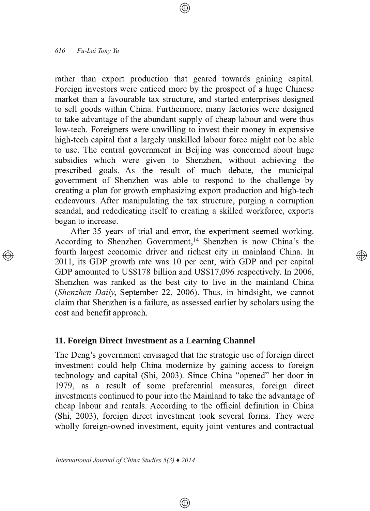rather than export production that geared towards gaining capital. Foreign investors were enticed more by the prospect of a huge Chinese market than a favourable tax structure, and started enterprises designed to sell goods within China. Furthermore, many factories were designed to take advantage of the abundant supply of cheap labour and were thus low-tech. Foreigners were unwilling to invest their money in expensive high-tech capital that a largely unskilled labour force might not be able to use. The central government in Beijing was concerned about huge subsidies which were given to Shenzhen, without achieving the prescribed goals. As the result of much debate, the municipal government of Shenzhen was able to respond to the challenge by creating a plan for growth emphasizing export production and high-tech endeavours. After manipulating the tax structure, purging a corruption scandal, and rededicating itself to creating a skilled workforce, exports began to increase.

After 35 years of trial and error, the experiment seemed working. According to Shenzhen Government,<sup>14</sup> Shenzhen is now China's the fourth largest economic driver and richest city in mainland China. In 2011, its GDP growth rate was 10 per cent, with GDP and per capital GDP amounted to US\$178 billion and US\$17,096 respectively. In 2006, Shenzhen was ranked as the best city to live in the mainland China (Shenzhen Daily, September 22, 2006). Thus, in hindsight, we cannot claim that Shenzhen is a failure, as assessed earlier by scholars using the cost and benefit approach.

্⊕

### 11. Foreign Direct Investment as a Learning Channel

The Deng's government envisaged that the strategic use of foreign direct investment could help China modernize by gaining access to foreign technology and capital (Shi, 2003). Since China "opened" her door in 1979, as a result of some preferential measures, foreign direct investments continued to pour into the Mainland to take the advantage of cheap labour and rentals. According to the official definition in China (Shi, 2003), foreign direct investment took several forms. They were wholly foreign-owned investment, equity joint ventures and contractual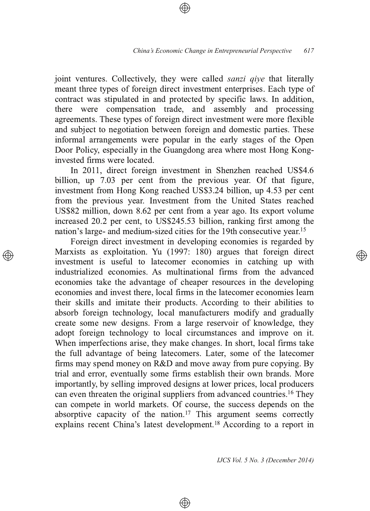joint ventures. Collectively, they were called *sanzi give* that literally meant three types of foreign direct investment enterprises. Each type of contract was stipulated in and protected by specific laws. In addition, there were compensation trade, and assembly and processing agreements. These types of foreign direct investment were more flexible and subject to negotiation between foreign and domestic parties. These informal arrangements were popular in the early stages of the Open Door Policy, especially in the Guangdong area where most Hong Konginvested firms were located.

In 2011, direct foreign investment in Shenzhen reached US\$4.6 billion, up 7.03 per cent from the previous year. Of that figure, investment from Hong Kong reached US\$3.24 billion, up 4.53 per cent from the previous year. Investment from the United States reached US\$82 million, down 8.62 per cent from a year ago. Its export volume increased 20.2 per cent, to US\$245.53 billion, ranking first among the nation's large- and medium-sized cities for the 19th consecutive year.<sup>15</sup>

Foreign direct investment in developing economies is regarded by Marxists as exploitation. Yu (1997: 180) argues that foreign direct investment is useful to latecomer economies in catching up with industrialized economies. As multinational firms from the advanced economies take the advantage of cheaper resources in the developing economies and invest there, local firms in the latecomer economies learn their skills and imitate their products. According to their abilities to absorb foreign technology, local manufacturers modify and gradually create some new designs. From a large reservoir of knowledge, they adopt foreign technology to local circumstances and improve on it. When imperfections arise, they make changes. In short, local firms take the full advantage of being latecomers. Later, some of the latecomer firms may spend money on R&D and move away from pure copying. By trial and error, eventually some firms establish their own brands. More importantly, by selling improved designs at lower prices, local producers can even threaten the original suppliers from advanced countries.<sup>16</sup> They can compete in world markets. Of course, the success depends on the absorptive capacity of the nation.<sup>17</sup> This argument seems correctly explains recent China's latest development.<sup>18</sup> According to a report in

⊕

IJCS Vol. 5 No. 3 (December 2014)

্⊕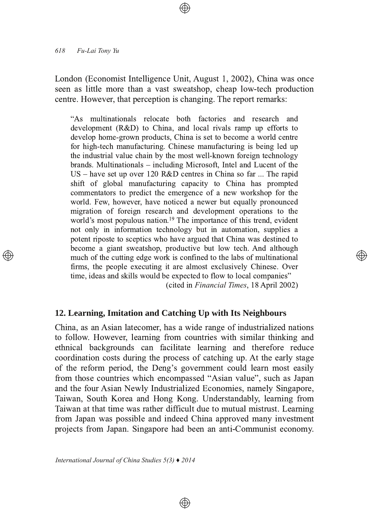London (Economist Intelligence Unit, August 1, 2002), China was once seen as little more than a vast sweatshop, cheap low-tech production centre. However, that perception is changing. The report remarks:

"As multinationals relocate both factories and research and development  $(R&D)$  to China, and local rivals ramp up efforts to develop home-grown products. China is set to become a world centre for high-tech manufacturing. Chinese manufacturing is being led up the industrial value chain by the most well-known foreign technology brands. Multinationals – including Microsoft, Intel and Lucent of the US – have set up over 120 R&D centres in China so far ... The rapid shift of global manufacturing capacity to China has prompted commentators to predict the emergence of a new workshop for the world. Few, however, have noticed a newer but equally pronounced migration of foreign research and development operations to the world's most populous nation.<sup>19</sup> The importance of this trend, evident not only in information technology but in automation, supplies a potent riposte to sceptics who have argued that China was destined to become a giant sweatshop, productive but low tech. And although much of the cutting edge work is confined to the labs of multinational firms, the people executing it are almost exclusively Chinese. Over time, ideas and skills would be expected to flow to local companies" (cited in Financial Times, 18 April 2002)

## 12. Learning, Imitation and Catching Up with Its Neighbours

China, as an Asian latecomer, has a wide range of industrialized nations to follow. However, learning from countries with similar thinking and ethnical backgrounds can facilitate learning and therefore reduce coordination costs during the process of catching up. At the early stage of the reform period, the Deng's government could learn most easily from those countries which encompassed "Asian value", such as Japan and the four Asian Newly Industrialized Economies, namely Singapore, Taiwan, South Korea and Hong Kong. Understandably, learning from Taiwan at that time was rather difficult due to mutual mistrust. Learning from Japan was possible and indeed China approved many investment projects from Japan. Singapore had been an anti-Communist economy.

 $\circledast$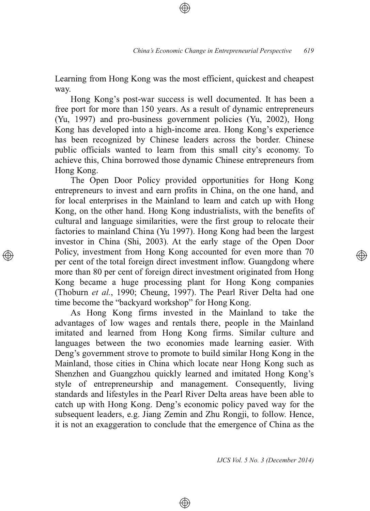Learning from Hong Kong was the most efficient, quickest and cheapest way.

Hong Kong's post-war success is well documented. It has been a free port for more than 150 years. As a result of dynamic entrepreneurs (Yu, 1997) and pro-business government policies (Yu, 2002), Hong Kong has developed into a high-income area. Hong Kong's experience has been recognized by Chinese leaders across the border. Chinese public officials wanted to learn from this small city's economy. To achieve this, China borrowed those dynamic Chinese entrepreneurs from Hong Kong.

The Open Door Policy provided opportunities for Hong Kong entrepreneurs to invest and earn profits in China, on the one hand, and for local enterprises in the Mainland to learn and catch up with Hong Kong, on the other hand. Hong Kong industrialists, with the benefits of cultural and language similarities, were the first group to relocate their factories to mainland China (Yu 1997). Hong Kong had been the largest investor in China (Shi, 2003). At the early stage of the Open Door Policy, investment from Hong Kong accounted for even more than 70 per cent of the total foreign direct investment inflow. Guangdong where more than 80 per cent of foreign direct investment originated from Hong Kong became a huge processing plant for Hong Kong companies (Thoburn et al., 1990; Cheung, 1997). The Pearl River Delta had one time become the "backyard workshop" for Hong Kong.

As Hong Kong firms invested in the Mainland to take the advantages of low wages and rentals there, people in the Mainland imitated and learned from Hong Kong firms. Similar culture and languages between the two economies made learning easier. With Deng's government strove to promote to build similar Hong Kong in the Mainland, those cities in China which locate near Hong Kong such as Shenzhen and Guangzhou quickly learned and imitated Hong Kong's style of entrepreneurship and management. Consequently, living standards and lifestyles in the Pearl River Delta areas have been able to catch up with Hong Kong. Deng's economic policy paved way for the subsequent leaders, e.g. Jiang Zemin and Zhu Rongii, to follow. Hence, it is not an exaggeration to conclude that the emergence of China as the

⊕

IJCS Vol. 5 No. 3 (December 2014)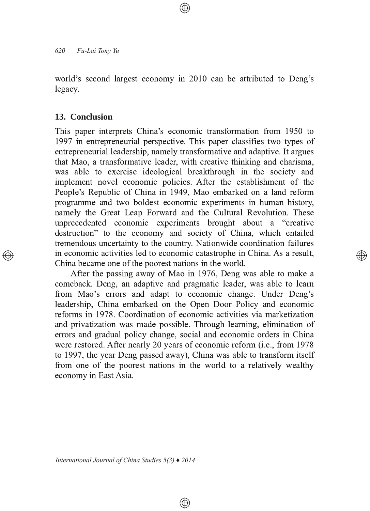world's second largest economy in 2010 can be attributed to Deng's legacy.

## **13. Conclusion**

This paper interprets China's economic transformation from 1950 to 1997 in entrepreneurial perspective. This paper classifies two types of entrepreneurial leadership, namely transformative and adaptive. It argues that Mao, a transformative leader, with creative thinking and charisma, was able to exercise ideological breakthrough in the society and implement novel economic policies. After the establishment of the People's Republic of China in 1949, Mao embarked on a land reform programme and two boldest economic experiments in human history, namely the Great Leap Forward and the Cultural Revolution. These unprecedented economic experiments brought about a "creative" destruction" to the economy and society of China, which entailed tremendous uncertainty to the country. Nationwide coordination failures in economic activities led to economic catastrophe in China. As a result, China became one of the poorest nations in the world.

After the passing away of Mao in 1976, Deng was able to make a comeback. Deng, an adaptive and pragmatic leader, was able to learn from Mao's errors and adapt to economic change. Under Deng's leadership, China embarked on the Open Door Policy and economic reforms in 1978. Coordination of economic activities via marketization and privatization was made possible. Through learning, elimination of errors and gradual policy change, social and economic orders in China were restored. After nearly 20 years of economic reform (i.e., from 1978) to 1997, the year Deng passed away), China was able to transform itself from one of the poorest nations in the world to a relatively wealthy economy in East Asia.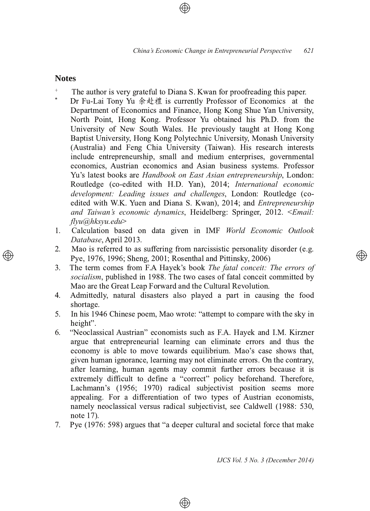### **Notes**

- The author is very grateful to Diana S. Kwan for proofreading this paper.
- \* Dr Fu-Lai Tony Yu 余赴禮 is currently Professor of Economics at the Department of Economics and Finance, Hong Kong Shue Yan University, North Point, Hong Kong. Professor Yu obtained his Ph.D. from the University of New South Wales. He previously taught at Hong Kong Baptist University, Hong Kong Polytechnic University, Monash University (Australia) and Feng Chia University (Taiwan). His research interests include entrepreneurship, small and medium enterprises, governmental economics, Austrian economics and Asian business systems. Professor Yu's latest books are *Handbook on East Asian entrepreneurship*, London: Routledge (co-edited with H.D. Yan), 2014; International economic *development: Leading issues and challenges, London: Routledge (co*edited with W.K. Yuen and Diana S. Kwan), 2014; and *Entrepreneurship and Taiwan's economic dynamics*, Heidelberg: Springer, 2012. <*Email: flyu@hksyu.edu*
- 1. Calculation based on data given in IMF World *Economic Outlook* Database, April 2013.
- 2. Mao is referred to as suffering from narcissistic personality disorder (e.g. Pye, 1976, 1996; Sheng, 2001; Rosenthal and Pittinsky, 2006)
- 3. The term comes from F.A Hayek's book *The fatal conceit: The errors of* socialism, published in 1988. The two cases of fatal conceit committed by Mao are the Great Leap Forward and the Cultural Revolution.
- 4. Admittedly, natural disasters also played a part in causing the food shortage.
- 5. In his 1946 Chinese poem, Mao wrote: "attempt to compare with the sky in height".
- 6. "Neoclassical Austrian" economists such as F.A. Hayek and I.M. Kirzner argue that entrepreneurial learning can eliminate errors and thus the economy is able to move towards equilibrium. Mao's case shows that, given human ignorance, learning may not eliminate errors. On the contrary, after learning, human agents may commit further errors because it is extremely difficult to define a "correct" policy beforehand. Therefore, Lachmann's (1956; 1970) radical subjectivist position seems more appealing. For a differentiation of two types of Austrian economists, namely neoclassical versus radical subjectivist, see Caldwell (1988: 530, note  $17$ ).
- 7. Pye (1976: 598) argues that "a deeper cultural and societal force that make

⊕

*IJCS Vol. 5 No. 3 (December 2014)*

 $\circledcirc$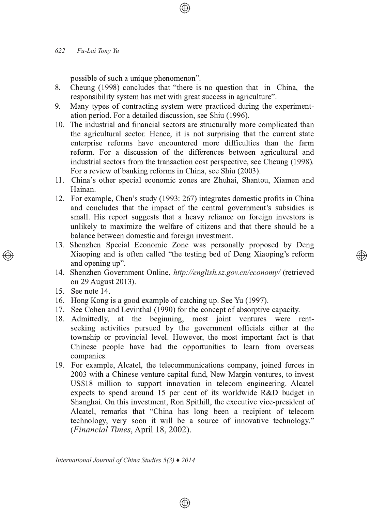possible of such a unique phenomenon".

- Cheung (1998) concludes that "there is no question that in China, the  $8<sup>1</sup>$ responsibility system has met with great success in agriculture".
- $9<sub>1</sub>$ Many types of contracting system were practiced during the experimentation period. For a detailed discussion, see Shiu (1996).
- 10. The industrial and financial sectors are structurally more complicated than the agricultural sector. Hence, it is not surprising that the current state enterprise reforms have encountered more difficulties than the farm reform. For a discussion of the differences between agricultural and industrial sectors from the transaction cost perspective, see Cheung (1998). For a review of banking reforms in China, see Shiu (2003).
- 11. China's other special economic zones are Zhuhai, Shantou, Xiamen and Hainan.
- 12. For example, Chen's study (1993: 267) integrates domestic profits in China and concludes that the impact of the central government's subsidies is small. His report suggests that a heavy reliance on foreign investors is unlikely to maximize the welfare of citizens and that there should be a balance between domestic and foreign investment.
- 13. Shenzhen Special Economic Zone was personally proposed by Deng Xiaoping and is often called "the testing bed of Deng Xiaoping's reform and opening up".
- 14. Shenzhen Government Online, http://english.sz.gov.cn/economy/ (retrieved on 29 August 2013).
- 15. See note 14.
- 16. Hong Kong is a good example of catching up. See Yu (1997).
- 17. See Cohen and Levinthal (1990) for the concept of absorptive capacity.
- 18. Admittedly, at the beginning, most joint ventures were rentseeking activities pursued by the government officials either at the township or provincial level. However, the most important fact is that Chinese people have had the opportunities to learn from overseas companies.
- 19. For example, Alcatel, the telecommunications company, joined forces in 2003 with a Chinese venture capital fund, New Margin ventures, to invest US\$18 million to support innovation in telecom engineering. Alcatel expects to spend around 15 per cent of its worldwide R&D budget in Shanghai. On this investment, Ron Spithill, the executive vice-president of Alcatel, remarks that "China has long been a recipient of telecom technology, very soon it will be a source of innovative technology." (Financial Times, April 18, 2002).

 $\circledast$ 

International Journal of China Studies  $5(3)$   $\blacklozenge$  2014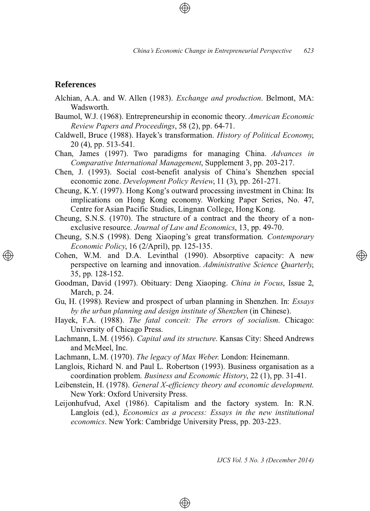# **References**

- Alchian, A.A. and W. Allen (1983). *Exchange and production*. Belmont, MA: Wadsworth.
- Baumol, W.J. (1968). Entrepreneurship in economic theory. American Economic *Review Papers and Proceedings*, 58 (2), pp. 64-71.
- Caldwell, Bruce (1988). Hayek's transformation. *History of Political Economy*, 20 (4), pp. 513-541.
- Chan, James (1997). Two paradigms for managing China. Advances in *Comparative International Management*, Supplement 3, pp. 203-217.
- Chen, J. (1993). Social cost-benefit analysis of China's Shenzhen special economic zone. *Development Policy Review*, 11 (3), pp. 261-271.

Cheung, K.Y. (1997). Hong Kong's outward processing investment in China: Its implications on Hong Kong economy. Working Paper Series, No. 47, Centre for Asian Pacific Studies, Lingnan College, Hong Kong.

Cheung, S.N.S. (1970). The structure of a contract and the theory of a nonexclusive resource. Journal of Law and Economics, 13, pp. 49-70.

Cheung, S.N.S (1998). Deng Xiaoping's great transformation. Contemporary *Economic Policy*, 16 (2/April), pp. 125-135.

Cohen, W.M. and D.A. Levinthal (1990). Absorptive capacity: A new perspective on learning and innovation. Administrative Science Quarterly, 35, pp. 128-152.

- Gu, H. (1998). Review and prospect of urban planning in Shenzhen. In: *Essays by the urban planning and design institute of Shenzhen* (in Chinese).
- Hayek, F.A. (1988). The fatal conceit: The errors of socialism. Chicago: University of Chicago Press.
- Lachmann, L.M. (1956). Capital and its structure. Kansas City: Sheed Andrews and McMeel, Inc.
- Lachmann, L.M. (1970). The legacy of Max Weber. London: Heinemann.
- Langlois, Richard N. and Paul L. Robertson (1993). Business organisation as a coordination problem. Business and Economic History, 22 (1), pp. 31-41.
- Leibenstein, H. (1978). General *X*-efficiency theory and economic development. New York: Oxford University Press.
- Leijonhufvud, Axel (1986). Capitalism and the factory system. In: R.N. Langlois (ed.), *Economics as a process: Essays in the new institutional* economics. New York: Cambridge University Press, pp. 203-223.

 $\bigoplus$ 

*IJCS Vol. 5 No. 3 (December 2014)*

</u>

Goodman, David (1997). Obituary: Deng Xiaoping. *China in Focus*, Issue 2, March, p. 24.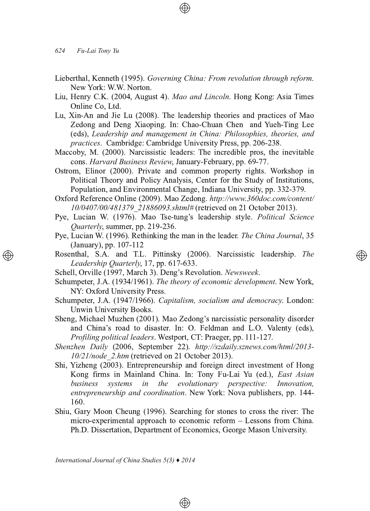- Lieberthal, Kenneth (1995). Governing China: From revolution through reform. New York: W.W. Norton.
- Liu, Henry C.K. (2004, August 4). *Mao and Lincoln*. Hong Kong: Asia Times Online Co. Ltd.
- Lu, Xin-An and Jie Lu (2008). The leadership theories and practices of Mao Zedong and Deng Xiaoping. In: Chao-Chuan Chen and Yueh-Ting Lee  $(eds)$ , *Leadership* and *management* in *China: Philosophies, theories, and* practices. Cambridge: Cambridge University Press, pp. 206-238.
- Maccoby, M. (2000). Narcissistic leaders: The incredible pros, the inevitable cons. Harvard Business Review, January-February, pp. 69-77.
- Ostrom, Elinor (2000). Private and common property rights. Workshop in Political Theory and Policy Analysis, Center for the Study of Institutions, Population, and Environmental Change, Indiana University, pp. 332-379.
- Oxford Reference Online (2009). Mao Zedong. http://www.360doc.com/content/ 10/0407/00/481379\_21886093.shtml# (retrieved on 21 October 2013).
- Pye, Lucian W. (1976). Mao Tse-tung's leadership style. Political Science *Quarterly*, summer, pp. 219-236.
- Pye, Lucian W. (1996). Rethinking the man in the leader. The China Journal, 35 (January), pp. 107-112
- Rosenthal, S.A. and T.L. Pittinsky (2006). Narcissistic leadership. The *Leadership Quarterly*, 17, pp. 617-633.

</u>

- Schell, Orville (1997, March 3). Deng's Revolution. Newsweek.
- Schumpeter, J.A. (1934/1961). The theory of economic development. New York, NY: Oxford University Press.
- Schumpeter, J.A. (1947/1966). *Capitalism, socialism and democracy*. London: Unwin University Books.
- Sheng, Michael Muzhen (2001). Mao Zedong's narcissistic personality disorder and China's road to disaster. In: O. Feldman and L.O. Valenty (eds), Profiling political leaders. Westport, CT: Praeger, pp. 111-127.
- Shenzhen Daily (2006, September 22). http://szdaily.sznews.com/html/2013-*10/21/node 2.htm* (retrieved on 21 October 2013).
- Shi, Yizheng (2003). Entrepreneurship and foreign direct investment of Hong Kong firms in Mainland China. In: Tony Fu-Lai Yu (ed.), East Asian *business systems in the evolutionary perspective: Innovation, entrepreneurship and coordination*. New York: Nova publishers, pp. 144-160.
- Shiu, Gary Moon Cheung (1996). Searching for stones to cross the river: The micro-experimental approach to economic reform - Lessons from China. Ph.D. Dissertation, Department of Economics, George Mason University.

 $\circledast$ 

*International Journal of China Studies 5(3) ♦ 2014*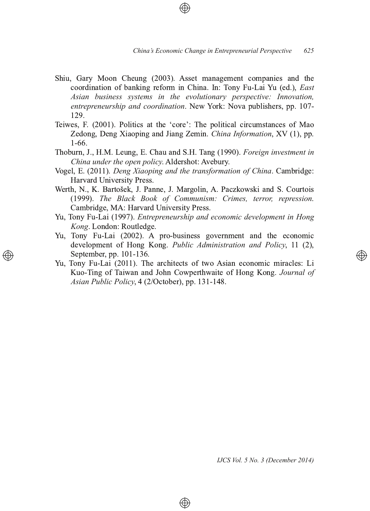- Shiu, Gary Moon Cheung (2003). Asset management companies and the coordination of banking reform in China. In: Tony Fu-Lai Yu (ed.), *East Asian business systems in the evolutionary perspective: Innovation, entrepreneurship and coordination*. New York: Nova publishers, pp. 107-129.
- Teiwes, F. (2001). Politics at the 'core': The political circumstances of Mao Zedong, Deng Xiaoping and Jiang Zemin. China Information, XV (1), pp.  $1-66$ .
- Thoburn, J., H.M. Leung, E. Chau and S.H. Tang (1990). Foreign investment in *China under the open policy.* Aldershot: Avebury.
- Vogel, E. (2011). Deng Xiaoping and the transformation of China. Cambridge: Harvard University Press.
- Werth, N., K. Bartošek, J. Panne, J. Margolin, A. Paczkowski and S. Courtois *The Black Book of Communism: Crimes, terror, repression* Cambridge, MA: Harvard University Press.
- Yu, Tony Fu-Lai (1997). Entrepreneurship and economic development in Hong *Kong*, London: Routledge.
- Yu, Tony Fu-Lai (2002). A pro-business government and the economic development of Hong Kong. Public Administration and Policy, 11 (2), September, pp. 101-136.
- Yu, Tony Fu-Lai (2011). The architects of two Asian economic miracles: Li Kuo-Ting of Taiwan and John Cowperthwaite of Hong Kong. Journal of Asian Public Policy, 4 (2/October), pp. 131-148.

⊕

*IJCS Vol. 5 No. 3 (December 2014)*

্⊕